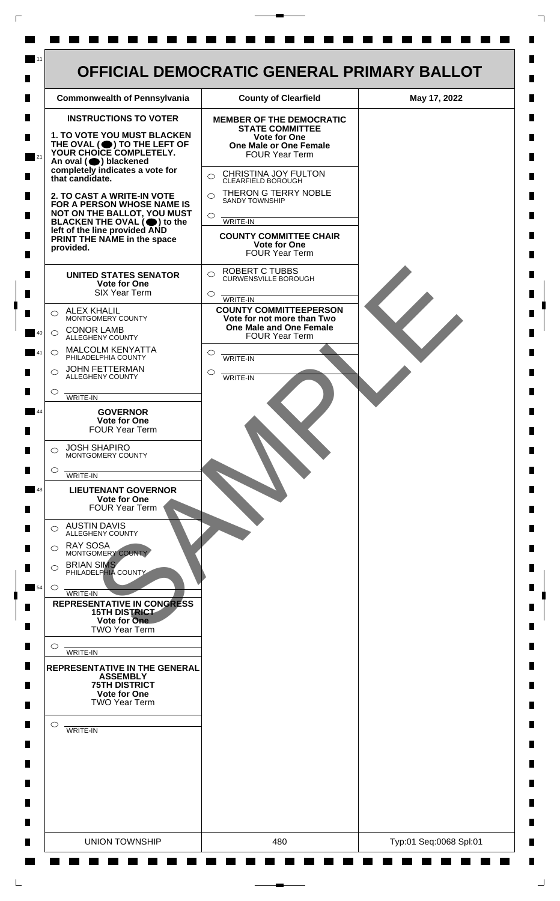

 $\mathsf{L}$ 

 $\Box$